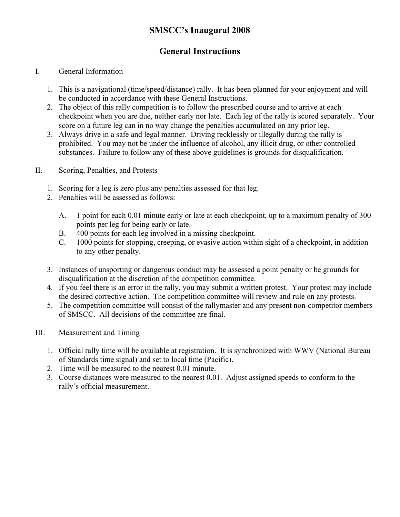## **SMSCC's Inaugural 2008**

# **General Instructions**

### I. General Information

- 1. This is a navigational (time/speed/distance) rally. It has been planned for your enjoyment and will be conducted in accordance with these General Instructions.
- 2. The object of this rally competition is to follow the prescribed course and to arrive at each checkpoint when you are due, neither early nor late. Each leg of the rally is scored separately. Your score on a future leg can in no way change the penalties accumulated on any prior leg.
- 3. Always drive in a safe and legal manner. Driving recklessly or illegally during the rally is prohibited. You may not be under the influence of alcohol, any illicit drug, or other controlled substances. Failure to follow any of these above guidelines is grounds for disqualification.
- II. Scoring, Penalties, and Protests
	- 1. Scoring for a leg is zero plus any penalties assessed for that leg.
	- 2. Penalties will be assessed as follows:
		- A. 1 point for each 0.01 minute early or late at each checkpoint, up to a maximum penalty of 300 points per leg for being early or late.
		- B. 400 points for each leg involved in a missing checkpoint.
		- C. 1000 points for stopping, creeping, or evasive action within sight of a checkpoint, in addition to any other penalty.
	- 3. Instances of unsporting or dangerous conduct may be assessed a point penalty or be grounds for disqualification at the discretion of the competition committee.
	- 4. If you feel there is an error in the rally, you may submit a written protest. Your protest may include the desired corrective action. The competition committee will review and rule on any protests.
	- 5. The competition committee will consist of the rallymaster and any present non-competitor members of SMSCC. All decisions of the committee are final.
- III. Measurement and Timing
	- 1. Official rally time will be available at registration. It is synchronized with WWV (National Bureau of Standards time signal) and set to local time (Pacific).
	- 2. Time will be measured to the nearest 0.01 minute.
	- 3. Course distances were measured to the nearest 0.01. Adjust assigned speeds to conform to the rally's official measurement.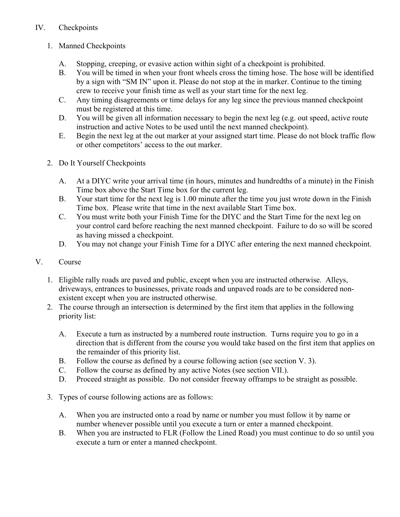## IV. Checkpoints

- 1. Manned Checkpoints
	- A. Stopping, creeping, or evasive action within sight of a checkpoint is prohibited.
	- B. You will be timed in when your front wheels cross the timing hose. The hose will be identified by a sign with "SM IN" upon it. Please do not stop at the in marker. Continue to the timing crew to receive your finish time as well as your start time for the next leg.
	- C. Any timing disagreements or time delays for any leg since the previous manned checkpoint must be registered at this time.
	- D. You will be given all information necessary to begin the next leg (e.g. out speed, active route instruction and active Notes to be used until the next manned checkpoint).
	- E. Begin the next leg at the out marker at your assigned start time. Please do not block traffic flow or other competitors' access to the out marker.
- 2. Do It Yourself Checkpoints
	- A. At a DIYC write your arrival time (in hours, minutes and hundredths of a minute) in the Finish Time box above the Start Time box for the current leg.
	- B. Your start time for the next leg is 1.00 minute after the time you just wrote down in the Finish Time box. Please write that time in the next available Start Time box.
	- C. You must write both your Finish Time for the DIYC and the Start Time for the next leg on your control card before reaching the next manned checkpoint. Failure to do so will be scored as having missed a checkpoint.
	- D. You may not change your Finish Time for a DIYC after entering the next manned checkpoint.
- V. Course
	- 1. Eligible rally roads are paved and public, except when you are instructed otherwise. Alleys, driveways, entrances to businesses, private roads and unpaved roads are to be considered nonexistent except when you are instructed otherwise.
	- 2. The course through an intersection is determined by the first item that applies in the following priority list:
		- A. Execute a turn as instructed by a numbered route instruction. Turns require you to go in a direction that is different from the course you would take based on the first item that applies on the remainder of this priority list.
		- B. Follow the course as defined by a course following action (see section V. 3).
		- C. Follow the course as defined by any active Notes (see section VII.).
		- D. Proceed straight as possible. Do not consider freeway offramps to be straight as possible.
	- 3. Types of course following actions are as follows:
		- A. When you are instructed onto a road by name or number you must follow it by name or number whenever possible until you execute a turn or enter a manned checkpoint.
		- B. When you are instructed to FLR (Follow the Lined Road) you must continue to do so until you execute a turn or enter a manned checkpoint.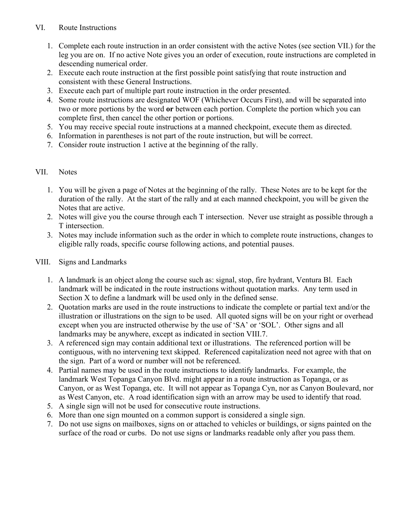#### VI. Route Instructions

- 1. Complete each route instruction in an order consistent with the active Notes (see section VII.) for the leg you are on. If no active Note gives you an order of execution, route instructions are completed in descending numerical order.
- 2. Execute each route instruction at the first possible point satisfying that route instruction and consistent with these General Instructions.
- 3. Execute each part of multiple part route instruction in the order presented.
- 4. Some route instructions are designated WOF (Whichever Occurs First), and will be separated into two or more portions by the word **or** between each portion. Complete the portion which you can complete first, then cancel the other portion or portions.
- 5. You may receive special route instructions at a manned checkpoint, execute them as directed.
- 6. Information in parentheses is not part of the route instruction, but will be correct.
- 7. Consider route instruction 1 active at the beginning of the rally.

#### VII. Notes

- 1. You will be given a page of Notes at the beginning of the rally. These Notes are to be kept for the duration of the rally. At the start of the rally and at each manned checkpoint, you will be given the Notes that are active.
- 2. Notes will give you the course through each T intersection. Never use straight as possible through a T intersection.
- 3. Notes may include information such as the order in which to complete route instructions, changes to eligible rally roads, specific course following actions, and potential pauses.

#### VIII. Signs and Landmarks

- 1. A landmark is an object along the course such as: signal, stop, fire hydrant, Ventura Bl. Each landmark will be indicated in the route instructions without quotation marks. Any term used in Section X to define a landmark will be used only in the defined sense.
- 2. Quotation marks are used in the route instructions to indicate the complete or partial text and/or the illustration or illustrations on the sign to be used. All quoted signs will be on your right or overhead except when you are instructed otherwise by the use of 'SA' or 'SOL'. Other signs and all landmarks may be anywhere, except as indicated in section VIII.7.
- 3. A referenced sign may contain additional text or illustrations. The referenced portion will be contiguous, with no intervening text skipped. Referenced capitalization need not agree with that on the sign. Part of a word or number will not be referenced.
- 4. Partial names may be used in the route instructions to identify landmarks. For example, the landmark West Topanga Canyon Blvd. might appear in a route instruction as Topanga, or as Canyon, or as West Topanga, etc. It will not appear as Topanga Cyn, nor as Canyon Boulevard, nor as West Canyon, etc. A road identification sign with an arrow may be used to identify that road.
- 5. A single sign will not be used for consecutive route instructions.
- 6. More than one sign mounted on a common support is considered a single sign.
- 7. Do not use signs on mailboxes, signs on or attached to vehicles or buildings, or signs painted on the surface of the road or curbs. Do not use signs or landmarks readable only after you pass them.